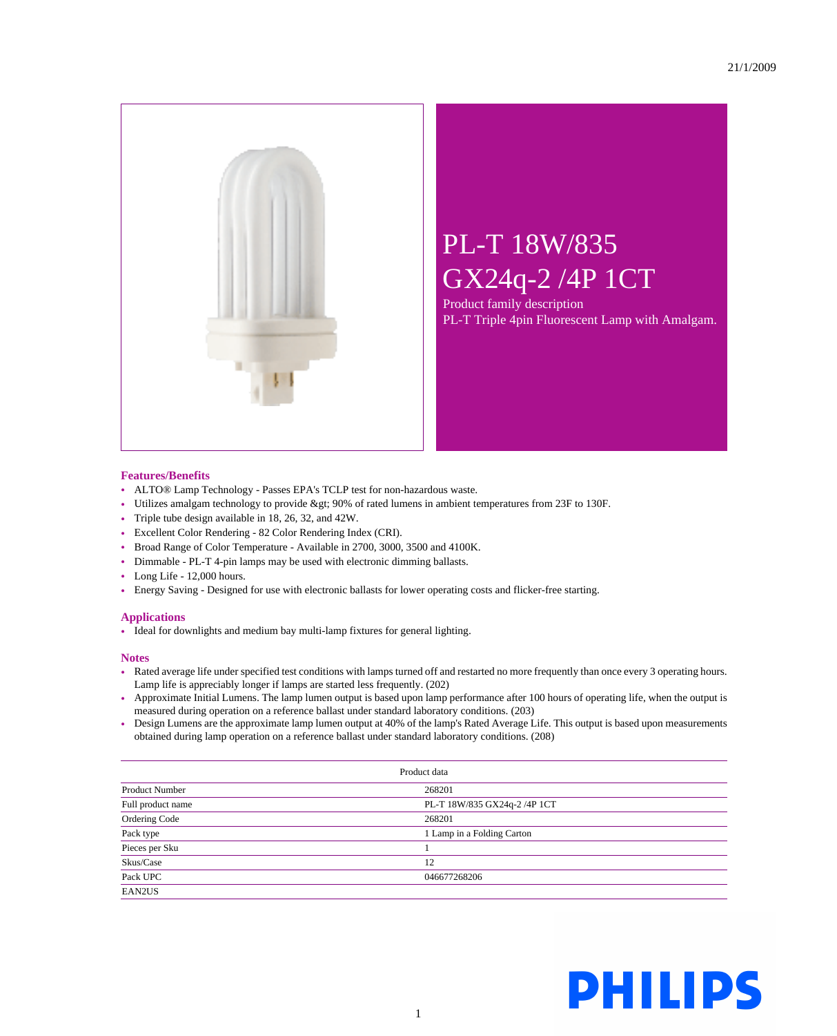

## PL-T 18W/835 GX24q-2 /4P 1CT

Product family description PL-T Triple 4pin Fluorescent Lamp with Amalgam.

## **Features/Benefits**

- ALTO® Lamp Technology Passes EPA's TCLP test for non-hazardous waste.
- Utilizes amalgam technology to provide > 90% of rated lumens in ambient temperatures from 23F to 130F.
- Triple tube design available in 18, 26, 32, and 42W.
- Excellent Color Rendering 82 Color Rendering Index (CRI).
- Broad Range of Color Temperature Available in 2700, 3000, 3500 and 4100K.
- Dimmable PL-T 4-pin lamps may be used with electronic dimming ballasts.
- Long Life 12,000 hours.
- Energy Saving Designed for use with electronic ballasts for lower operating costs and flicker-free starting.

## **Applications**

• Ideal for downlights and medium bay multi-lamp fixtures for general lighting.

## **Notes**

- Rated average life under specified test conditions with lamps turned off and restarted no more frequently than once every 3 operating hours. Lamp life is appreciably longer if lamps are started less frequently. (202)
- Approximate Initial Lumens. The lamp lumen output is based upon lamp performance after 100 hours of operating life, when the output is measured during operation on a reference ballast under standard laboratory conditions. (203)
- Design Lumens are the approximate lamp lumen output at 40% of the lamp's Rated Average Life. This output is based upon measurements obtained during lamp operation on a reference ballast under standard laboratory conditions. (208)

| Product data          |                              |  |
|-----------------------|------------------------------|--|
| <b>Product Number</b> | 268201                       |  |
| Full product name     | PL-T 18W/835 GX24q-2 /4P 1CT |  |
| Ordering Code         | 268201                       |  |
| Pack type             | 1 Lamp in a Folding Carton   |  |
| Pieces per Sku        |                              |  |
| Skus/Case             | 12                           |  |
| Pack UPC              | 046677268206                 |  |
| EAN2US                |                              |  |

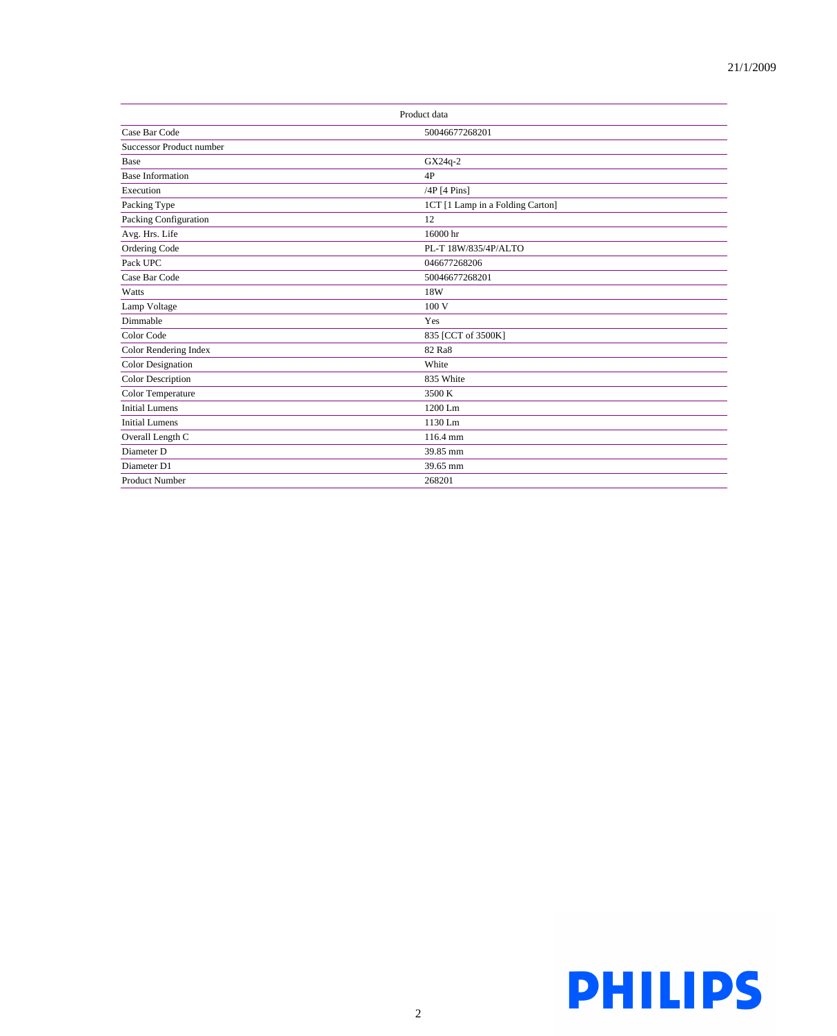| Product data             |                                  |  |
|--------------------------|----------------------------------|--|
| Case Bar Code            | 50046677268201                   |  |
| Successor Product number |                                  |  |
| Base                     | GX24q-2                          |  |
| <b>Base Information</b>  | 4P                               |  |
| Execution                | /4P [4 Pins]                     |  |
| Packing Type             | 1CT [1 Lamp in a Folding Carton] |  |
| Packing Configuration    | 12                               |  |
| Avg. Hrs. Life           | 16000 hr                         |  |
| Ordering Code            | PL-T 18W/835/4P/ALTO             |  |
| Pack UPC                 | 046677268206                     |  |
| Case Bar Code            | 50046677268201                   |  |
| Watts                    | 18W                              |  |
| Lamp Voltage             | 100 V                            |  |
| Dimmable                 | Yes                              |  |
| Color Code               | 835 [CCT of 3500K]               |  |
| Color Rendering Index    | 82 Ra8                           |  |
| <b>Color Designation</b> | White                            |  |
| Color Description        | 835 White                        |  |
| Color Temperature        | 3500 K                           |  |
| <b>Initial Lumens</b>    | 1200 Lm                          |  |
| <b>Initial Lumens</b>    | 1130 Lm                          |  |
| Overall Length C         | 116.4 mm                         |  |
| Diameter D               | 39.85 mm                         |  |
| Diameter D1              | 39.65 mm                         |  |
| <b>Product Number</b>    | 268201                           |  |